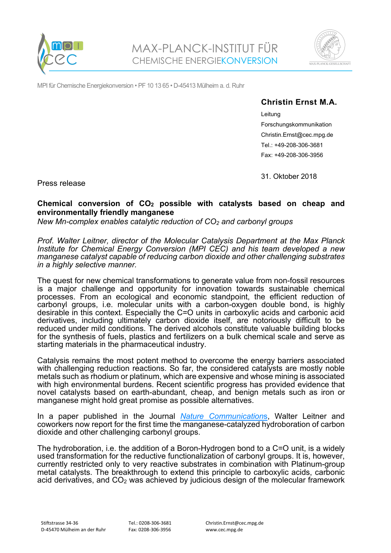



MPI für Chemische Energiekonversion • PF 10 13 65 • D-45413 Mülheim a. d. Ruhr

## **Christin Ernst M.A.**

Leitung Forschungskommunikation Christin.Ernst@cec.mpg.de Tel.: +49-208-306-3681 Fax: +49-208-306-3956

Press release

31. Oktober 2018

## **Chemical conversion of CO2 possible with catalysts based on cheap and environmentally friendly manganese**

*New Mn-complex enables catalytic reduction of CO2 and carbonyl groups* 

*Prof. Walter Leitner, director of the Molecular Catalysis Department at the Max Planck Institute for Chemical Energy Conversion (MPI CEC) and his team developed a new manganese catalyst capable of reducing carbon dioxide and other challenging substrates in a highly selective manner.*

The quest for new chemical transformations to generate value from non-fossil resources is a major challenge and opportunity for innovation towards sustainable chemical processes. From an ecological and economic standpoint, the efficient reduction of carbonyl groups, i.e. molecular units with a carbon-oxygen double bond, is highly desirable in this context. Especially the C=O units in carboxylic acids and carbonic acid derivatives, including ultimately carbon dioxide itself, are notoriously difficult to be reduced under mild conditions. The derived alcohols constitute valuable building blocks for the synthesis of fuels, plastics and fertilizers on a bulk chemical scale and serve as starting materials in the pharmaceutical industry.

Catalysis remains the most potent method to overcome the energy barriers associated with challenging reduction reactions. So far, the considered catalysts are mostly noble metals such as rhodium or platinum, which are expensive and whose mining is associated with high environmental burdens. Recent scientific progress has provided evidence that novel catalysts based on earth-abundant, cheap, and benign metals such as iron or manganese might hold great promise as possible alternatives.

In a paper published in the Journal *[Nature Communication](https://www.nature.com/ncomms/)*s, Walter Leitner and coworkers now report for the first time the manganese-catalyzed hydroboration of carbon dioxide and other challenging carbonyl groups.

The hydroboration, i.e. the addition of a Boron-Hydrogen bond to a C=O unit, is a widely used transformation for the reductive functionalization of carbonyl groups. It is, however, currently restricted only to very reactive substrates in combination with Platinum-group metal catalysts. The breakthrough to extend this principle to carboxylic acids, carbonic acid derivatives, and  $CO<sub>2</sub>$  was achieved by judicious design of the molecular framework